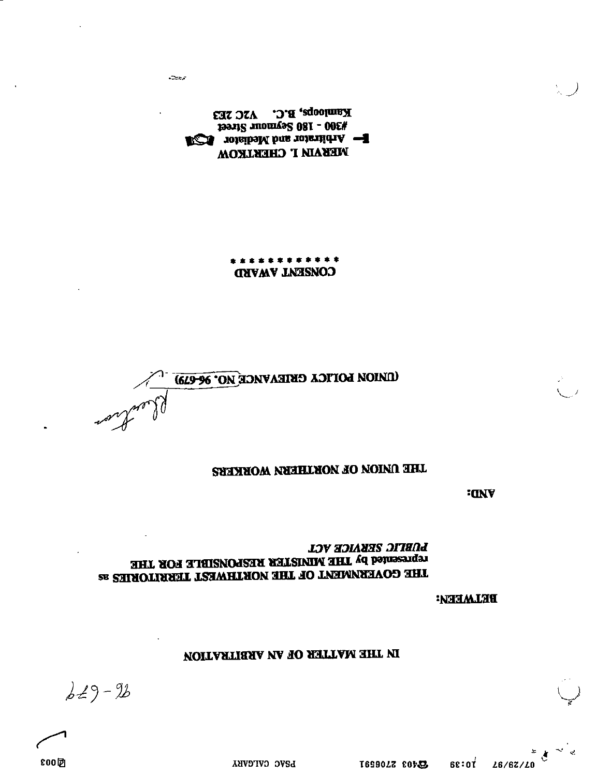PSAC CALGARY

 $629 - 26$ 

## NOITASTISSA NA TO SETTAM SHT MI

### **BELAAEEA:**

### **LOWIC SEKAICE VCL** HHT SOH 3.JHR MINISHOUSES RESPONSIBLE FOR THE THE COVERNMENT OF THE NORTHWEST TERRITORIES as

**ICINY** 

### THE ONION OF NORTHERN WORKERS

**UNION LOTTCA CRIEAVACE NO. 96-679)**  $\mathcal{G}$ word

\* \* \* \* \* \* \* \* \* \* \* \* **CONSENT AWARD** 

Kamloops, B.C. V2C 2E3 #300 - 180 2elucar 2reer **F-** Arbitrator and Mediator **CSA MERAIA I' CHERLKOM** 

محت

800团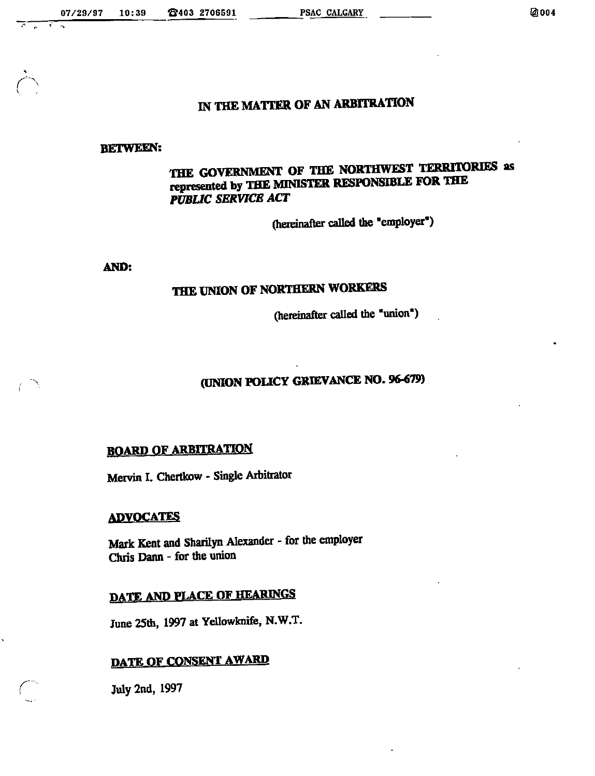r

# IN THE MATTER OF AN ARBITRATION

#### BETWEEN:

## the government of the northwest territories as represented by THE MINISTER RESPONSIBLE FOR THE PUBLIC SERVICE ACT

(hereinafter called the "employer")

AND:

## THE UNION OF NORTHERN WORKERS

(hereinafter called thc "union")

# (UNION POLICY GRIEVANCE NO. 96-679)

## **BOARD OF ARBITRATION**

Mervin I. Chertkow - Single Arbitrator

#### **ADVOCATES**

Mark Kent and Sharilyn Alexander - for the employer Chris Dann - for the union

# DATE AND PLACE OF HEARINGS

June 25th, 1997 at Yellowknife, N.W.T.

## DATE OF CONSENT AWARD

July 2nd, 1997

r'-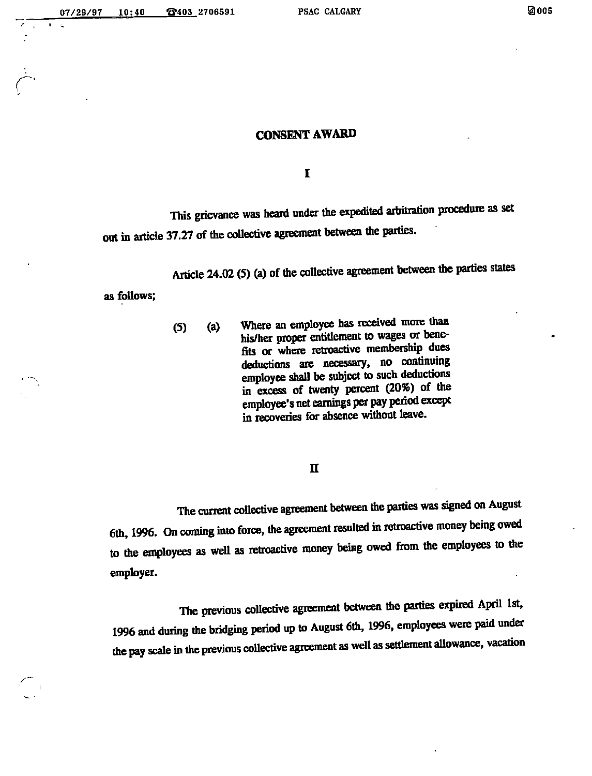07/29/97 10:40 \_®403 2706591 PSAC CALGARY @005

### **CONSENT AWARD**

 $\mathbf I$ 

This grievance was heard under the expedited arbitration procedure as set out in article 37.27 of the collective agreement between the parties.

Article 24.02 (5) (a) of the collective agreement between the parties states

as follows;

 $\sim$  1

(5) (a) "Where an employee has received more than his/her proper entitlement to wages ot bene fits or where retroactive membership dues deductions are necessary, no continuing employee shall be subject to such deductions in excess of twenty percent (20%) of the employee's net earnings per pay period except in recoveries for absence without leave.

#### n

The current collective agreement between the parties was signed on August 6th, 1996. On coming into force, the agreement resulted in retroactive money being owed to the employees as well as retroactive money being owed from the employees to the employer.

The previous collective agreement between the parties expired April 1st, 1996 and during the bridging period up to August 6th, 1996, employees were paid under the pay scale in the previous collective agreement as well as settlement allowance, vacation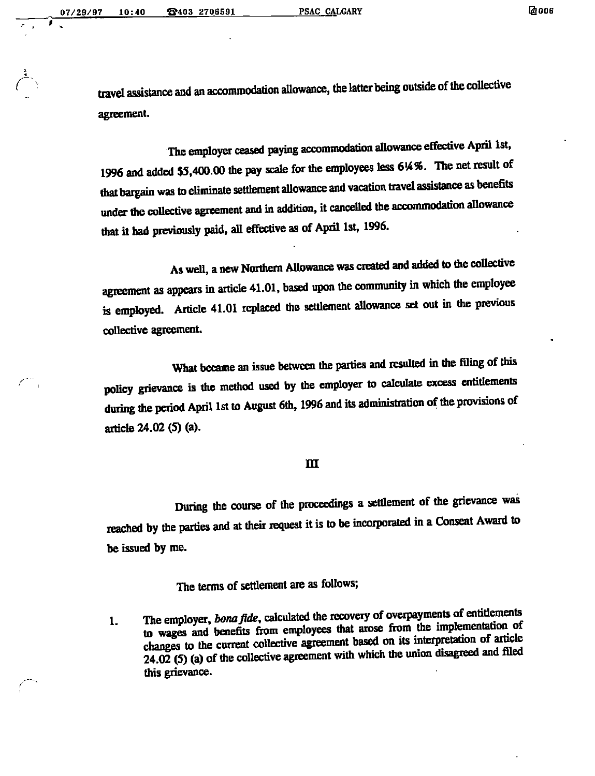travel assistance and an accommodation allowance, the latter being outside of the collective agreement.

The employer ceased paying accommodation allowance effective April 1st, 1996 and added \$5,400.00 the pay scale for die employees less 6K?6. The net result of that bargain was to eliminate settlement aUowance and vacation travel assistance as benefits under the collective agreement and in addition, it cancelled the accommodation allowance that it had previously paid, aU effective as of April 1st, 1996.

As well, a new Northern Allowance was created and added to the collective agreement as appears in article 41.01, based upon the community in which the employee is employed. Article 41.01 replaced the settlement aUowance set out in the previous collective agreement.

What became an issue between the parties and resulted in the filing of this policy grievance is the method used by the employer to calculate excess entitlements during the period April 1st to August 6th, 1996 and its administration of the provisions of article 24.02 (5) (a).

#### m

During the course of the proceedings a settlement of the grievance was reached by the parties and at their request it is to be incorporated in a Consent Award to be issued by me.

## The terms of settlement are as follows;

1. The employer, bona fide, calculated the recovery of overpayments of entitlements to wages and benefits from employees that arose from the implementation of changes to the current collective agreement based on its interpretation of article  $24.02$  (5) (a) of the collective agreement with which the union disagreed and filed this grievance.